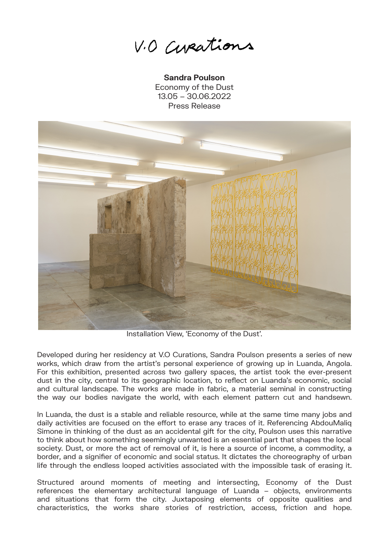V.O Curations

**Sandra Poulson** Economy of the Dust 13.05 – 30.06.2022 Press Release



Installation View, 'Economy of the Dust'.

Developed during her residency at V.O Curations, Sandra Poulson presents a series of new works, which draw from the artist's personal experience of growing up in Luanda, Angola. For this exhibition, presented across two gallery spaces, the artist took the ever-present dust in the city, central to its geographic location, to reflect on Luanda's economic, social and cultural landscape. The works are made in fabric, a material seminal in constructing the way our bodies navigate the world, with each element pattern cut and handsewn.

In Luanda, the dust is a stable and reliable resource, while at the same time many jobs and daily activities are focused on the effort to erase any traces of it. Referencing AbdouMaliq Simone in thinking of the dust as an accidental gift for the city, Poulson uses this narrative to think about how something seemingly unwanted is an essential part that shapes the local society. Dust, or more the act of removal of it, is here a source of income, a commodity, a border, and a signifier of economic and social status. It dictates the choreography of urban life through the endless looped activities associated with the impossible task of erasing it.

Structured around moments of meeting and intersecting, Economy of the Dust references the elementary architectural language of Luanda – objects, environments and situations that form the city. Juxtaposing elements of opposite qualities and characteristics, the works share stories of restriction, access, friction and hope.